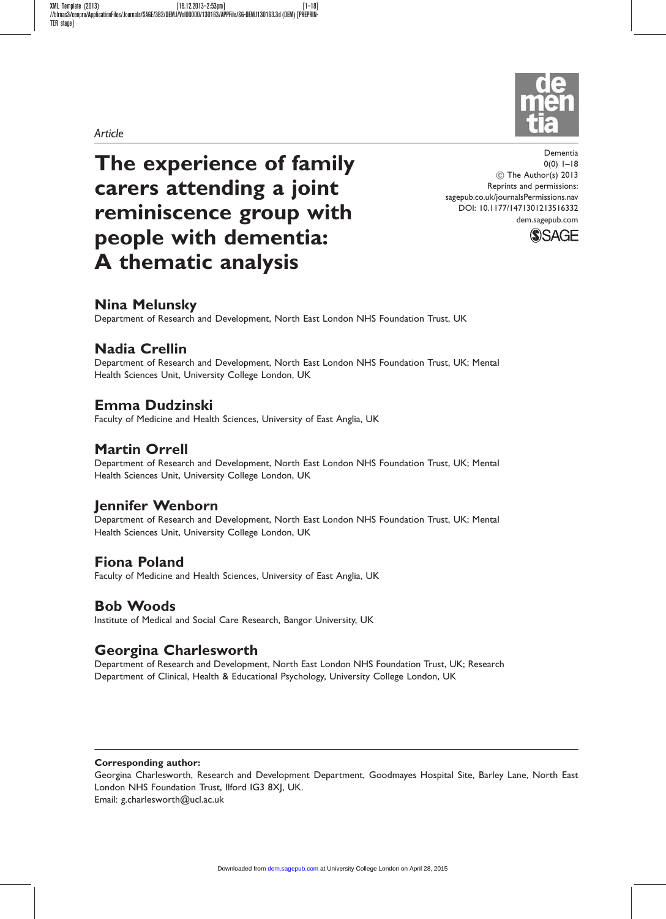

# The experience of family carers attending a joint reminiscence group with people with dementia: A thematic analysis

Dementia  $0(0)$  1–18 C The Author(s) 2013 Reprints and permissions: sagepub.co.uk/journalsPermissions.nav DOI: 10.1177/1471301213516332 dem.sagepub.com



# Nina Melunsky

Department of Research and Development, North East London NHS Foundation Trust, UK

# Nadia Crellin

Department of Research and Development, North East London NHS Foundation Trust, UK; Mental Health Sciences Unit, University College London, UK

# Emma Dudzinski

Faculty of Medicine and Health Sciences, University of East Anglia, UK

# Martin Orrell

Department of Research and Development, North East London NHS Foundation Trust, UK; Mental Health Sciences Unit, University College London, UK

# Jennifer Wenborn

Department of Research and Development, North East London NHS Foundation Trust, UK; Mental Health Sciences Unit, University College London, UK

# Fiona Poland

Faculty of Medicine and Health Sciences, University of East Anglia, UK

# Bob Woods

Institute of Medical and Social Care Research, Bangor University, UK

# Georgina Charlesworth

Department of Research and Development, North East London NHS Foundation Trust, UK; Research Department of Clinical, Health & Educational Psychology, University College London, UK

#### Corresponding author:

Georgina Charlesworth, Research and Development Department, Goodmayes Hospital Site, Barley Lane, North East London NHS Foundation Trust, Ilford IG3 8XJ, UK.

Email: g.charlesworth@ucl.ac.uk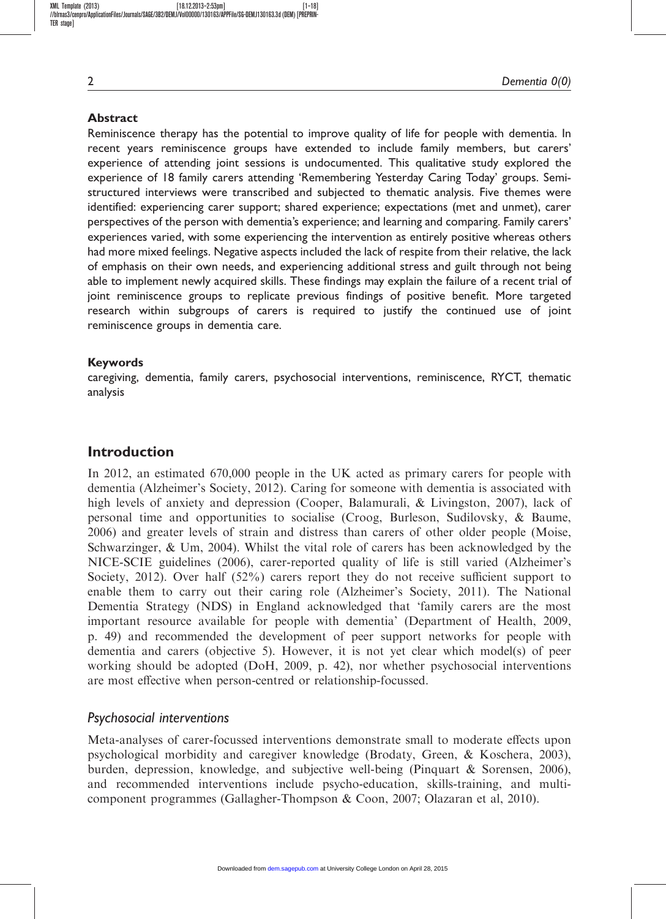#### Abstract

Reminiscence therapy has the potential to improve quality of life for people with dementia. In recent years reminiscence groups have extended to include family members, but carers' experience of attending joint sessions is undocumented. This qualitative study explored the experience of 18 family carers attending 'Remembering Yesterday Caring Today' groups. Semistructured interviews were transcribed and subjected to thematic analysis. Five themes were identified: experiencing carer support; shared experience; expectations (met and unmet), carer perspectives of the person with dementia's experience; and learning and comparing. Family carers' experiences varied, with some experiencing the intervention as entirely positive whereas others had more mixed feelings. Negative aspects included the lack of respite from their relative, the lack of emphasis on their own needs, and experiencing additional stress and guilt through not being able to implement newly acquired skills. These findings may explain the failure of a recent trial of joint reminiscence groups to replicate previous findings of positive benefit. More targeted research within subgroups of carers is required to justify the continued use of joint reminiscence groups in dementia care.

#### Keywords

caregiving, dementia, family carers, psychosocial interventions, reminiscence, RYCT, thematic analysis

# Introduction

In 2012, an estimated 670,000 people in the UK acted as primary carers for people with dementia (Alzheimer's Society, 2012). Caring for someone with dementia is associated with high levels of anxiety and depression (Cooper, Balamurali, & Livingston, 2007), lack of personal time and opportunities to socialise (Croog, Burleson, Sudilovsky, & Baume, 2006) and greater levels of strain and distress than carers of other older people (Moise, Schwarzinger, & Um, 2004). Whilst the vital role of carers has been acknowledged by the NICE-SCIE guidelines (2006), carer-reported quality of life is still varied (Alzheimer's Society, 2012). Over half (52%) carers report they do not receive sufficient support to enable them to carry out their caring role (Alzheimer's Society, 2011). The National Dementia Strategy (NDS) in England acknowledged that 'family carers are the most important resource available for people with dementia' (Department of Health, 2009, p. 49) and recommended the development of peer support networks for people with dementia and carers (objective 5). However, it is not yet clear which model(s) of peer working should be adopted (DoH, 2009, p. 42), nor whether psychosocial interventions are most effective when person-centred or relationship-focussed.

## Psychosocial interventions

Meta-analyses of carer-focussed interventions demonstrate small to moderate effects upon psychological morbidity and caregiver knowledge (Brodaty, Green, & Koschera, 2003), burden, depression, knowledge, and subjective well-being (Pinquart & Sorensen, 2006), and recommended interventions include psycho-education, skills-training, and multicomponent programmes (Gallagher-Thompson & Coon, 2007; Olazaran et al, 2010).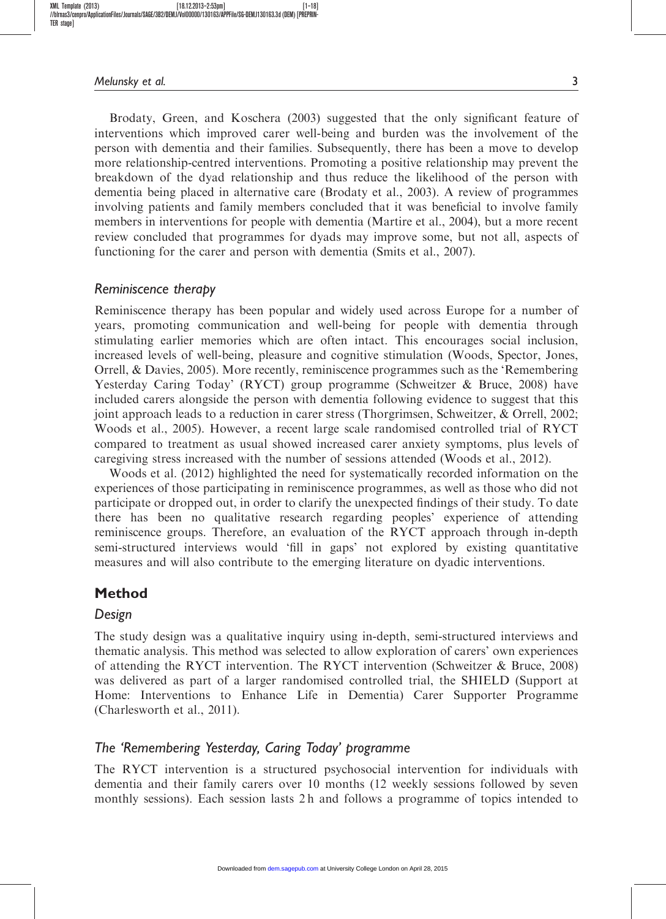Brodaty, Green, and Koschera (2003) suggested that the only significant feature of interventions which improved carer well-being and burden was the involvement of the person with dementia and their families. Subsequently, there has been a move to develop more relationship-centred interventions. Promoting a positive relationship may prevent the breakdown of the dyad relationship and thus reduce the likelihood of the person with dementia being placed in alternative care (Brodaty et al., 2003). A review of programmes involving patients and family members concluded that it was beneficial to involve family members in interventions for people with dementia (Martire et al., 2004), but a more recent review concluded that programmes for dyads may improve some, but not all, aspects of functioning for the carer and person with dementia (Smits et al., 2007).

#### Reminiscence therapy

Reminiscence therapy has been popular and widely used across Europe for a number of years, promoting communication and well-being for people with dementia through stimulating earlier memories which are often intact. This encourages social inclusion, increased levels of well-being, pleasure and cognitive stimulation (Woods, Spector, Jones, Orrell, & Davies, 2005). More recently, reminiscence programmes such as the 'Remembering Yesterday Caring Today' (RYCT) group programme (Schweitzer & Bruce, 2008) have included carers alongside the person with dementia following evidence to suggest that this joint approach leads to a reduction in carer stress (Thorgrimsen, Schweitzer, & Orrell, 2002; Woods et al., 2005). However, a recent large scale randomised controlled trial of RYCT compared to treatment as usual showed increased carer anxiety symptoms, plus levels of caregiving stress increased with the number of sessions attended (Woods et al., 2012).

Woods et al. (2012) highlighted the need for systematically recorded information on the experiences of those participating in reminiscence programmes, as well as those who did not participate or dropped out, in order to clarify the unexpected findings of their study. To date there has been no qualitative research regarding peoples' experience of attending reminiscence groups. Therefore, an evaluation of the RYCT approach through in-depth semi-structured interviews would 'fill in gaps' not explored by existing quantitative measures and will also contribute to the emerging literature on dyadic interventions.

# Method

#### Design

The study design was a qualitative inquiry using in-depth, semi-structured interviews and thematic analysis. This method was selected to allow exploration of carers' own experiences of attending the RYCT intervention. The RYCT intervention (Schweitzer & Bruce, 2008) was delivered as part of a larger randomised controlled trial, the SHIELD (Support at Home: Interventions to Enhance Life in Dementia) Carer Supporter Programme (Charlesworth et al., 2011).

#### The 'Remembering Yesterday, Caring Today' programme

The RYCT intervention is a structured psychosocial intervention for individuals with dementia and their family carers over 10 months (12 weekly sessions followed by seven monthly sessions). Each session lasts 2 h and follows a programme of topics intended to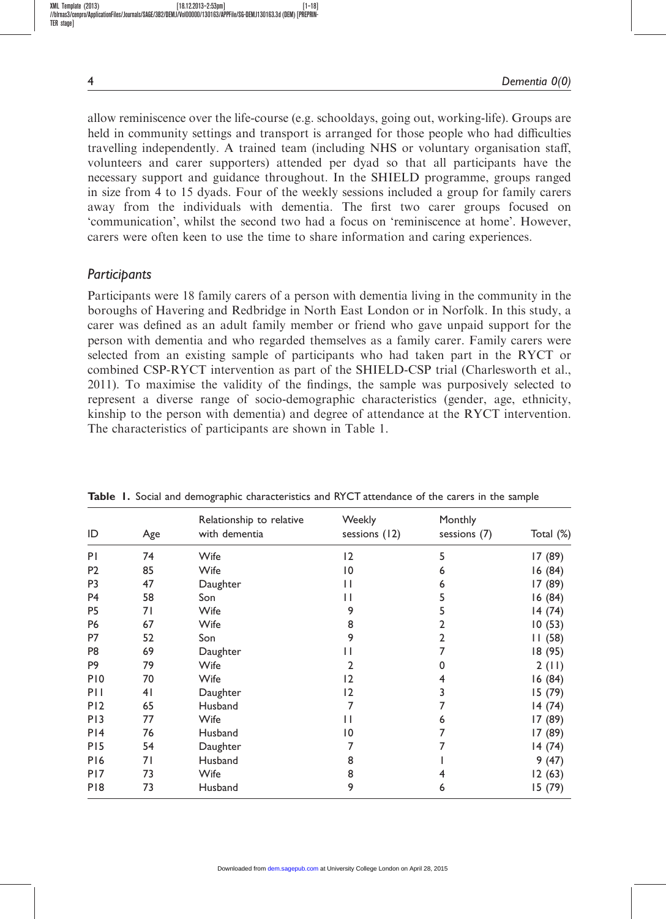allow reminiscence over the life-course (e.g. schooldays, going out, working-life). Groups are held in community settings and transport is arranged for those people who had difficulties travelling independently. A trained team (including NHS or voluntary organisation staff, volunteers and carer supporters) attended per dyad so that all participants have the necessary support and guidance throughout. In the SHIELD programme, groups ranged in size from 4 to 15 dyads. Four of the weekly sessions included a group for family carers away from the individuals with dementia. The first two carer groups focused on 'communication', whilst the second two had a focus on 'reminiscence at home'. However, carers were often keen to use the time to share information and caring experiences.

# **Participants**

Participants were 18 family carers of a person with dementia living in the community in the boroughs of Havering and Redbridge in North East London or in Norfolk. In this study, a carer was defined as an adult family member or friend who gave unpaid support for the person with dementia and who regarded themselves as a family carer. Family carers were selected from an existing sample of participants who had taken part in the RYCT or combined CSP-RYCT intervention as part of the SHIELD-CSP trial (Charlesworth et al., 2011). To maximise the validity of the findings, the sample was purposively selected to represent a diverse range of socio-demographic characteristics (gender, age, ethnicity, kinship to the person with dementia) and degree of attendance at the RYCT intervention. The characteristics of participants are shown in Table 1.

| ID              | Age | Relationship to relative<br>with dementia | <b>Weekly</b><br>sessions (12) | Monthly<br>sessions (7) | Total (%) |
|-----------------|-----|-------------------------------------------|--------------------------------|-------------------------|-----------|
| PI              | 74  | Wife                                      | 12                             | 5                       | 17 (89)   |
| P <sub>2</sub>  | 85  | Wife                                      | 10                             | 6                       | 16(84)    |
| P <sub>3</sub>  | 47  | Daughter                                  | П                              | 6                       | 17 (89)   |
| P <sub>4</sub>  | 58  | Son                                       | П                              | 5                       | 16(84)    |
| P <sub>5</sub>  | 71  | Wife                                      | 9                              | 5                       | 14(74)    |
| P <sub>6</sub>  | 67  | Wife                                      | 8                              | 2                       | 10(53)    |
| P7              | 52  | Son                                       | 9                              | 2                       | 11(58)    |
| P <sub>8</sub>  | 69  | Daughter                                  | П                              | 7                       | 18 (95)   |
| P <sub>9</sub>  | 79  | Wife                                      | $\overline{2}$                 | 0                       | 2(11)     |
| P <sub>10</sub> | 70  | Wife                                      | 12                             | 4                       | 16(84)    |
| <b>PII</b>      | 41  | Daughter                                  | 12                             | 3                       | 15 (79)   |
| PI2             | 65  | Husband                                   | 7                              | 7                       | 14 (74)   |
| PI3             | 77  | Wife                                      | П                              | 6                       | 17 (89)   |
| PI4             | 76  | Husband                                   | $\overline{0}$                 |                         | 17 (89)   |
| P <sub>15</sub> | 54  | Daughter                                  |                                |                         | 14 (74)   |
| P <sub>16</sub> | 71  | Husband                                   | 8                              |                         | 9(47)     |
| P <sub>17</sub> | 73  | Wife                                      | 8                              | 4                       | 12(63)    |
| P <sub>18</sub> | 73  | Husband                                   | 9                              | 6                       | 15 (79)   |

Table 1. Social and demographic characteristics and RYCT attendance of the carers in the sample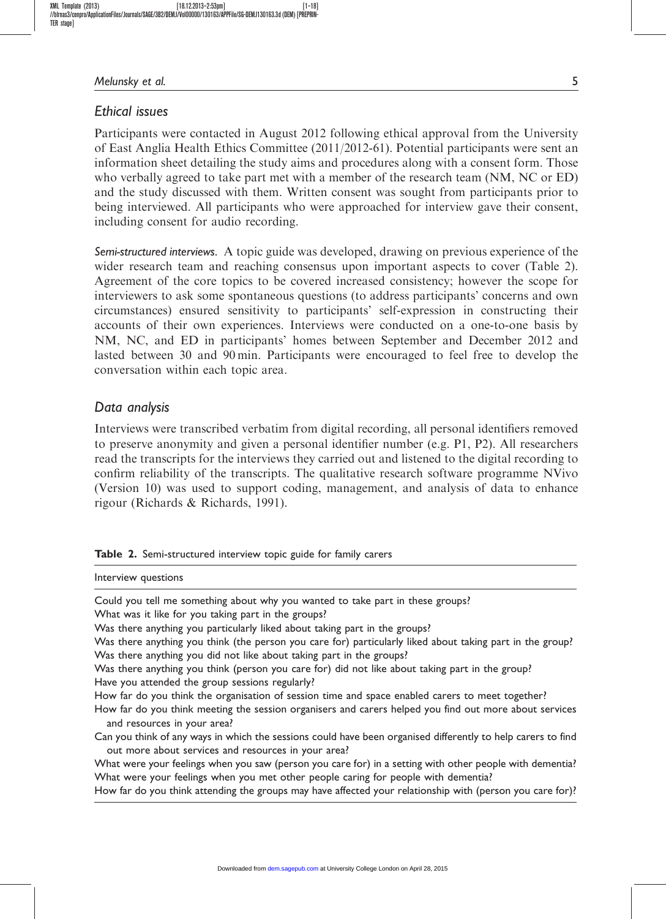## Ethical issues

Participants were contacted in August 2012 following ethical approval from the University of East Anglia Health Ethics Committee (2011/2012-61). Potential participants were sent an information sheet detailing the study aims and procedures along with a consent form. Those who verbally agreed to take part met with a member of the research team (NM, NC or ED) and the study discussed with them. Written consent was sought from participants prior to being interviewed. All participants who were approached for interview gave their consent, including consent for audio recording.

Semi-structured interviews. A topic guide was developed, drawing on previous experience of the wider research team and reaching consensus upon important aspects to cover (Table 2). Agreement of the core topics to be covered increased consistency; however the scope for interviewers to ask some spontaneous questions (to address participants' concerns and own circumstances) ensured sensitivity to participants' self-expression in constructing their accounts of their own experiences. Interviews were conducted on a one-to-one basis by NM, NC, and ED in participants' homes between September and December 2012 and lasted between 30 and 90 min. Participants were encouraged to feel free to develop the conversation within each topic area.

#### Data analysis

Interviews were transcribed verbatim from digital recording, all personal identifiers removed to preserve anonymity and given a personal identifier number (e.g. P1, P2). All researchers read the transcripts for the interviews they carried out and listened to the digital recording to confirm reliability of the transcripts. The qualitative research software programme NVivo (Version 10) was used to support coding, management, and analysis of data to enhance rigour (Richards & Richards, 1991).

|  |  | Table 2. Semi-structured interview topic guide for family carers |  |  |  |  |  |  |
|--|--|------------------------------------------------------------------|--|--|--|--|--|--|
|--|--|------------------------------------------------------------------|--|--|--|--|--|--|

Interview questions

Could you tell me something about why you wanted to take part in these groups?

What was it like for you taking part in the groups?

How far do you think the organisation of session time and space enabled carers to meet together?

How far do you think attending the groups may have affected your relationship with (person you care for)?

Was there anything you particularly liked about taking part in the groups?

Was there anything you think (the person you care for) particularly liked about taking part in the group? Was there anything you did not like about taking part in the groups?

Was there anything you think (person you care for) did not like about taking part in the group? Have you attended the group sessions regularly?

How far do you think meeting the session organisers and carers helped you find out more about services and resources in your area?

Can you think of any ways in which the sessions could have been organised differently to help carers to find out more about services and resources in your area?

What were your feelings when you saw (person you care for) in a setting with other people with dementia? What were your feelings when you met other people caring for people with dementia?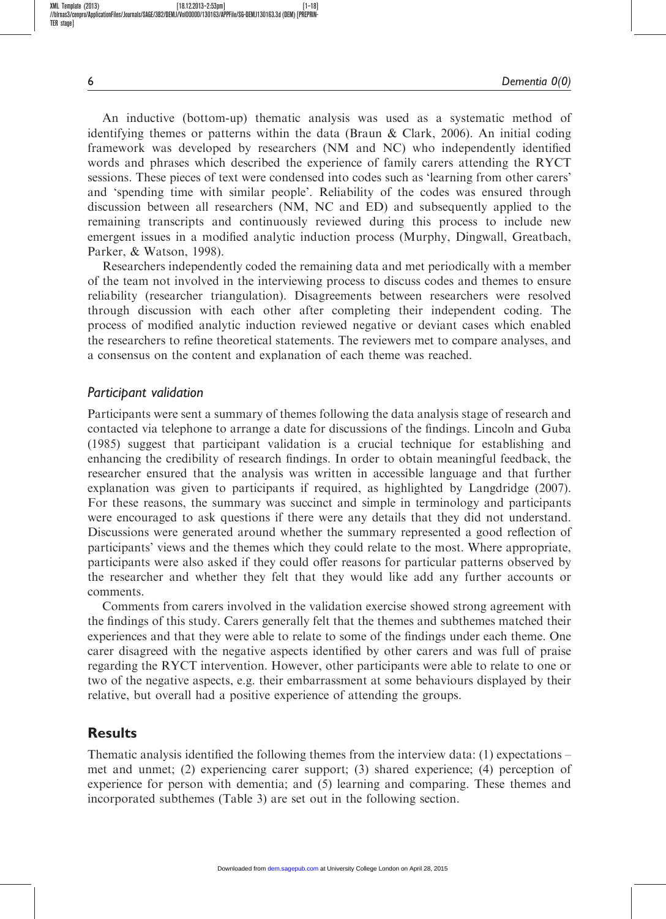An inductive (bottom-up) thematic analysis was used as a systematic method of identifying themes or patterns within the data (Braun  $\&$  Clark, 2006). An initial coding framework was developed by researchers (NM and NC) who independently identified words and phrases which described the experience of family carers attending the RYCT sessions. These pieces of text were condensed into codes such as 'learning from other carers' and 'spending time with similar people'. Reliability of the codes was ensured through discussion between all researchers (NM, NC and ED) and subsequently applied to the remaining transcripts and continuously reviewed during this process to include new emergent issues in a modified analytic induction process (Murphy, Dingwall, Greatbach, Parker, & Watson, 1998).

Researchers independently coded the remaining data and met periodically with a member of the team not involved in the interviewing process to discuss codes and themes to ensure reliability (researcher triangulation). Disagreements between researchers were resolved through discussion with each other after completing their independent coding. The process of modified analytic induction reviewed negative or deviant cases which enabled the researchers to refine theoretical statements. The reviewers met to compare analyses, and a consensus on the content and explanation of each theme was reached.

#### Participant validation

Participants were sent a summary of themes following the data analysis stage of research and contacted via telephone to arrange a date for discussions of the findings. Lincoln and Guba (1985) suggest that participant validation is a crucial technique for establishing and enhancing the credibility of research findings. In order to obtain meaningful feedback, the researcher ensured that the analysis was written in accessible language and that further explanation was given to participants if required, as highlighted by Langdridge (2007). For these reasons, the summary was succinct and simple in terminology and participants were encouraged to ask questions if there were any details that they did not understand. Discussions were generated around whether the summary represented a good reflection of participants' views and the themes which they could relate to the most. Where appropriate, participants were also asked if they could offer reasons for particular patterns observed by the researcher and whether they felt that they would like add any further accounts or comments.

Comments from carers involved in the validation exercise showed strong agreement with the findings of this study. Carers generally felt that the themes and subthemes matched their experiences and that they were able to relate to some of the findings under each theme. One carer disagreed with the negative aspects identified by other carers and was full of praise regarding the RYCT intervention. However, other participants were able to relate to one or two of the negative aspects, e.g. their embarrassment at some behaviours displayed by their relative, but overall had a positive experience of attending the groups.

## **Results**

Thematic analysis identified the following themes from the interview data:  $(1)$  expectations – met and unmet; (2) experiencing carer support; (3) shared experience; (4) perception of experience for person with dementia; and (5) learning and comparing. These themes and incorporated subthemes (Table 3) are set out in the following section.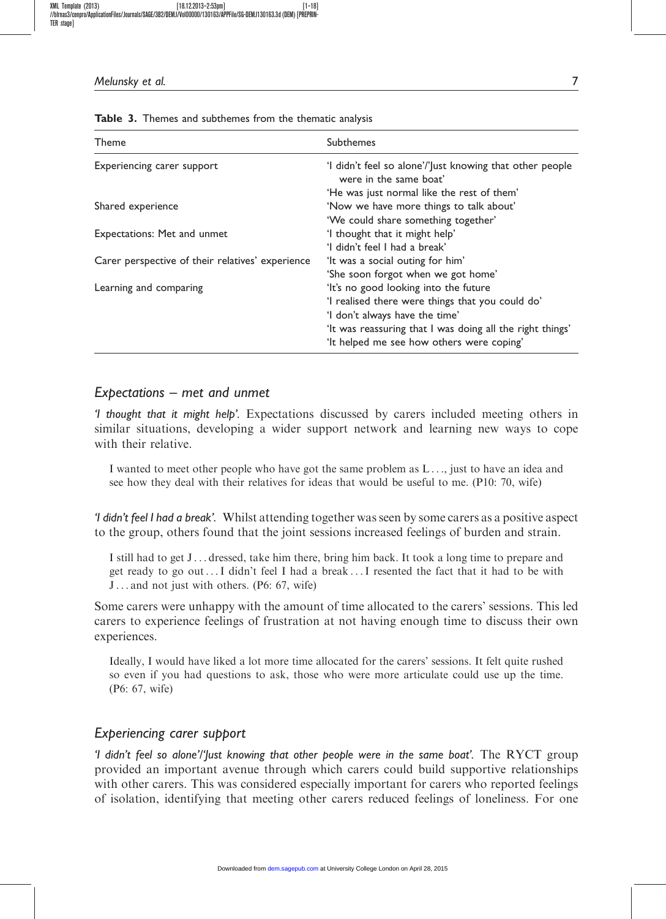| Theme                                            | Subthemes                                                                          |  |  |  |
|--------------------------------------------------|------------------------------------------------------------------------------------|--|--|--|
| Experiencing carer support                       | 'I didn't feel so alone'/' ust knowing that other people<br>were in the same boat' |  |  |  |
|                                                  | 'He was just normal like the rest of them'                                         |  |  |  |
| Shared experience                                | 'Now we have more things to talk about'                                            |  |  |  |
|                                                  | 'We could share something together'                                                |  |  |  |
| Expectations: Met and unmet                      | 'I thought that it might help'                                                     |  |  |  |
|                                                  | 'I didn't feel I had a break'                                                      |  |  |  |
| Carer perspective of their relatives' experience | 'It was a social outing for him'                                                   |  |  |  |
|                                                  | 'She soon forgot when we got home'                                                 |  |  |  |
| Learning and comparing                           | 'It's no good looking into the future                                              |  |  |  |
|                                                  | 'I realised there were things that you could do'                                   |  |  |  |
|                                                  | 'I don't always have the time'                                                     |  |  |  |
|                                                  | 'It was reassuring that I was doing all the right things'                          |  |  |  |
|                                                  | 'It helped me see how others were coping'                                          |  |  |  |

Table 3. Themes and subthemes from the thematic analysis

# Expectations – met and unmet

'I thought that it might help'. Expectations discussed by carers included meeting others in similar situations, developing a wider support network and learning new ways to cope with their relative.

I wanted to meet other people who have got the same problem as L ..., just to have an idea and see how they deal with their relatives for ideas that would be useful to me. (P10: 70, wife)

'I didn't feel I had a break'. Whilst attending together was seen by some carers as a positive aspect to the group, others found that the joint sessions increased feelings of burden and strain.

I still had to get J ... dressed, take him there, bring him back. It took a long time to prepare and get ready to go out ...I didn't feel I had a break ...I resented the fact that it had to be with J ... and not just with others. (P6: 67, wife)

Some carers were unhappy with the amount of time allocated to the carers' sessions. This led carers to experience feelings of frustration at not having enough time to discuss their own experiences.

Ideally, I would have liked a lot more time allocated for the carers' sessions. It felt quite rushed so even if you had questions to ask, those who were more articulate could use up the time. (P6: 67, wife)

#### Experiencing carer support

'I didn't feel so alone'/'Just knowing that other people were in the same boat'. The RYCT group provided an important avenue through which carers could build supportive relationships with other carers. This was considered especially important for carers who reported feelings of isolation, identifying that meeting other carers reduced feelings of loneliness. For one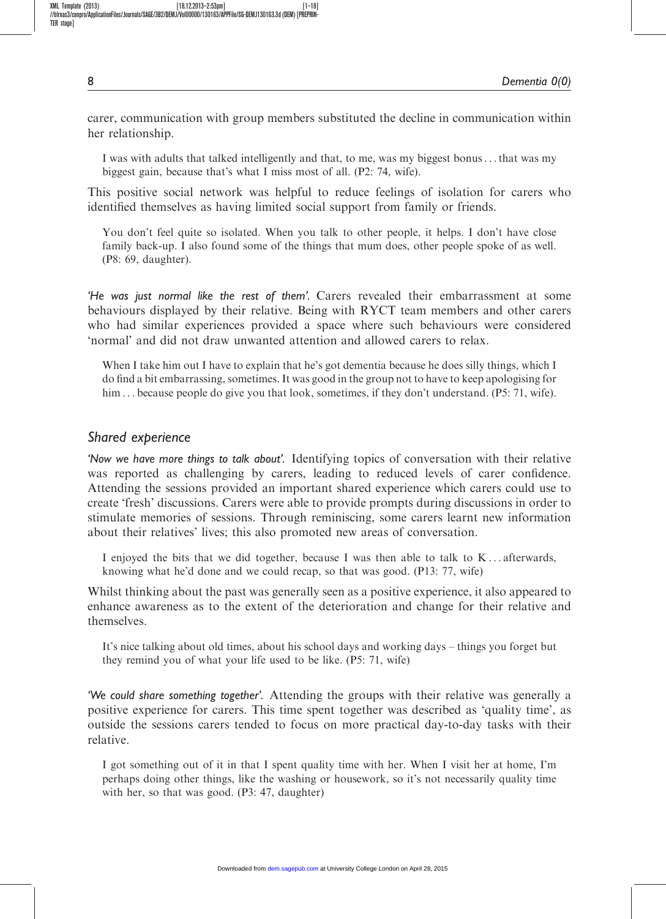carer, communication with group members substituted the decline in communication within her relationship.

I was with adults that talked intelligently and that, to me, was my biggest bonus...that was my biggest gain, because that's what I miss most of all. (P2: 74, wife).

This positive social network was helpful to reduce feelings of isolation for carers who identified themselves as having limited social support from family or friends.

You don't feel quite so isolated. When you talk to other people, it helps. I don't have close family back-up. I also found some of the things that mum does, other people spoke of as well. (P8: 69, daughter).

'He was just normal like the rest of them'. Carers revealed their embarrassment at some behaviours displayed by their relative. Being with RYCT team members and other carers who had similar experiences provided a space where such behaviours were considered 'normal' and did not draw unwanted attention and allowed carers to relax.

When I take him out I have to explain that he's got dementia because he does silly things, which I do find a bit embarrassing, sometimes. It was good in the group not to have to keep apologising for him ... because people do give you that look, sometimes, if they don't understand. (P5: 71, wife).

## Shared experience

'Now we have more things to talk about'. Identifying topics of conversation with their relative was reported as challenging by carers, leading to reduced levels of carer confidence. Attending the sessions provided an important shared experience which carers could use to create 'fresh' discussions. Carers were able to provide prompts during discussions in order to stimulate memories of sessions. Through reminiscing, some carers learnt new information about their relatives' lives; this also promoted new areas of conversation.

I enjoyed the bits that we did together, because I was then able to talk to K ... afterwards, knowing what he'd done and we could recap, so that was good. (P13: 77, wife)

Whilst thinking about the past was generally seen as a positive experience, it also appeared to enhance awareness as to the extent of the deterioration and change for their relative and themselves.

It's nice talking about old times, about his school days and working days – things you forget but they remind you of what your life used to be like. (P5: 71, wife)

'We could share something together'. Attending the groups with their relative was generally a positive experience for carers. This time spent together was described as 'quality time', as outside the sessions carers tended to focus on more practical day-to-day tasks with their relative.

I got something out of it in that I spent quality time with her. When I visit her at home, I'm perhaps doing other things, like the washing or housework, so it's not necessarily quality time with her, so that was good. (P3: 47, daughter)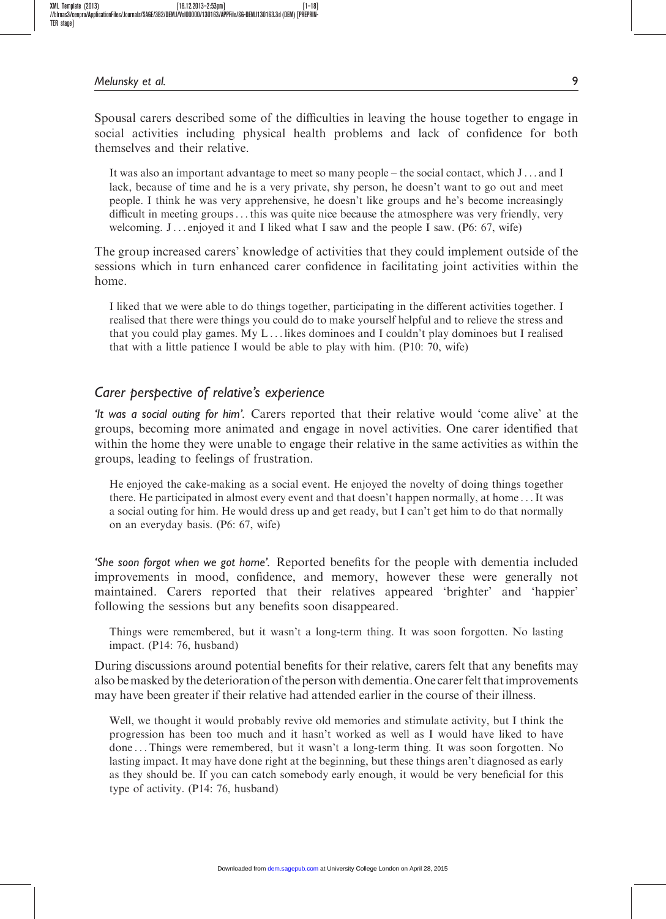Spousal carers described some of the difficulties in leaving the house together to engage in social activities including physical health problems and lack of confidence for both themselves and their relative.

It was also an important advantage to meet so many people – the social contact, which J ... and I lack, because of time and he is a very private, shy person, he doesn't want to go out and meet people. I think he was very apprehensive, he doesn't like groups and he's become increasingly difficult in meeting groups...this was quite nice because the atmosphere was very friendly, very welcoming. J... enjoyed it and I liked what I saw and the people I saw. ( $P6: 67$ , wife)

The group increased carers' knowledge of activities that they could implement outside of the sessions which in turn enhanced carer confidence in facilitating joint activities within the home.

I liked that we were able to do things together, participating in the different activities together. I realised that there were things you could do to make yourself helpful and to relieve the stress and that you could play games. My  $L \dots$  likes dominoes and I couldn't play dominoes but I realised that with a little patience I would be able to play with him. (P10: 70, wife)

# Carer perspective of relative's experience

'It was a social outing for him'. Carers reported that their relative would 'come alive' at the groups, becoming more animated and engage in novel activities. One carer identified that within the home they were unable to engage their relative in the same activities as within the groups, leading to feelings of frustration.

He enjoyed the cake-making as a social event. He enjoyed the novelty of doing things together there. He participated in almost every event and that doesn't happen normally, at home ...It was a social outing for him. He would dress up and get ready, but I can't get him to do that normally on an everyday basis. (P6: 67, wife)

'She soon forgot when we got home'. Reported benefits for the people with dementia included improvements in mood, confidence, and memory, however these were generally not maintained. Carers reported that their relatives appeared 'brighter' and 'happier' following the sessions but any benefits soon disappeared.

Things were remembered, but it wasn't a long-term thing. It was soon forgotten. No lasting impact. (P14: 76, husband)

During discussions around potential benefits for their relative, carers felt that any benefits may also be masked by the deterioration of the person with dementia.One carer felt thatimprovements may have been greater if their relative had attended earlier in the course of their illness.

Well, we thought it would probably revive old memories and stimulate activity, but I think the progression has been too much and it hasn't worked as well as I would have liked to have done ...Things were remembered, but it wasn't a long-term thing. It was soon forgotten. No lasting impact. It may have done right at the beginning, but these things aren't diagnosed as early as they should be. If you can catch somebody early enough, it would be very beneficial for this type of activity. (P14: 76, husband)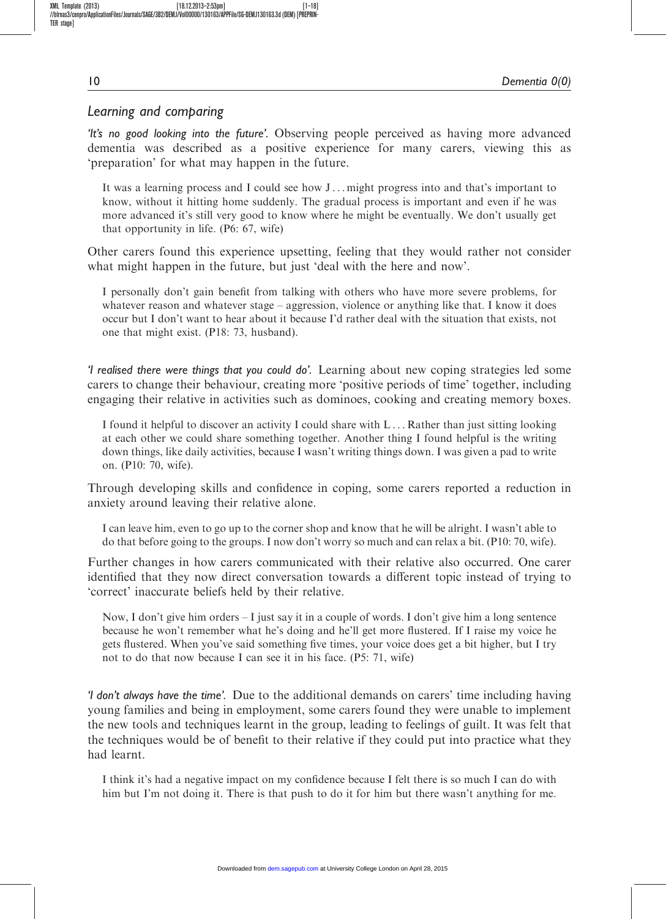# Learning and comparing

'It's no good looking into the future'. Observing people perceived as having more advanced dementia was described as a positive experience for many carers, viewing this as 'preparation' for what may happen in the future.

It was a learning process and I could see how J ... might progress into and that's important to know, without it hitting home suddenly. The gradual process is important and even if he was more advanced it's still very good to know where he might be eventually. We don't usually get that opportunity in life. (P6: 67, wife)

Other carers found this experience upsetting, feeling that they would rather not consider what might happen in the future, but just 'deal with the here and now'.

I personally don't gain benefit from talking with others who have more severe problems, for whatever reason and whatever stage – aggression, violence or anything like that. I know it does occur but I don't want to hear about it because I'd rather deal with the situation that exists, not one that might exist. (P18: 73, husband).

'I realised there were things that you could do'. Learning about new coping strategies led some carers to change their behaviour, creating more 'positive periods of time' together, including engaging their relative in activities such as dominoes, cooking and creating memory boxes.

I found it helpful to discover an activity I could share with L ... Rather than just sitting looking at each other we could share something together. Another thing I found helpful is the writing down things, like daily activities, because I wasn't writing things down. I was given a pad to write on. (P10: 70, wife).

Through developing skills and confidence in coping, some carers reported a reduction in anxiety around leaving their relative alone.

I can leave him, even to go up to the corner shop and know that he will be alright. I wasn't able to do that before going to the groups. I now don't worry so much and can relax a bit. (P10: 70, wife).

Further changes in how carers communicated with their relative also occurred. One carer identified that they now direct conversation towards a different topic instead of trying to 'correct' inaccurate beliefs held by their relative.

Now, I don't give him orders – I just say it in a couple of words. I don't give him a long sentence because he won't remember what he's doing and he'll get more flustered. If I raise my voice he gets flustered. When you've said something five times, your voice does get a bit higher, but I try not to do that now because I can see it in his face. (P5: 71, wife)

'I don't always have the time'. Due to the additional demands on carers' time including having young families and being in employment, some carers found they were unable to implement the new tools and techniques learnt in the group, leading to feelings of guilt. It was felt that the techniques would be of benefit to their relative if they could put into practice what they had learnt.

I think it's had a negative impact on my confidence because I felt there is so much I can do with him but I'm not doing it. There is that push to do it for him but there wasn't anything for me.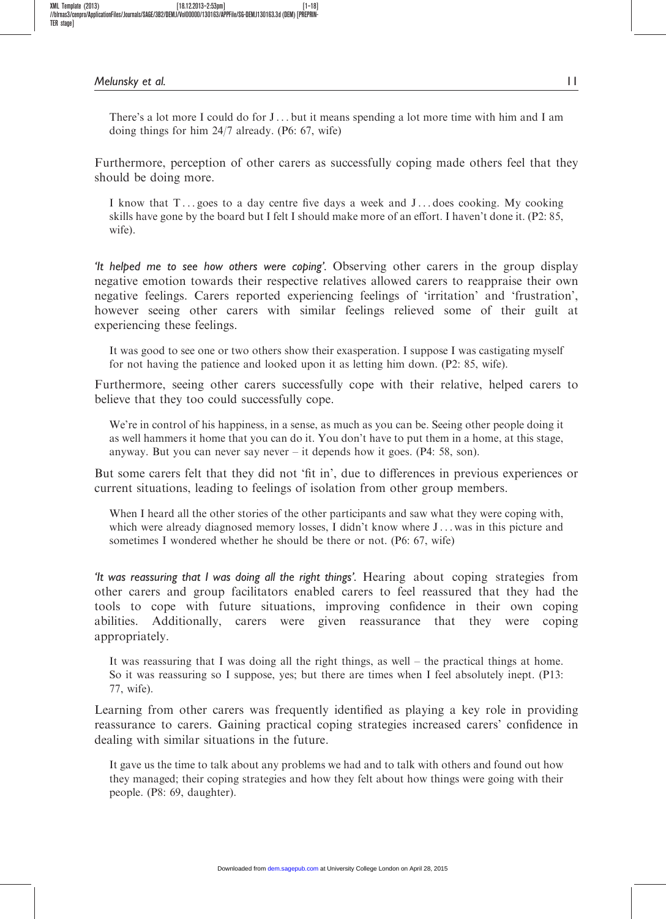There's a lot more I could do for  $J \dots$  but it means spending a lot more time with him and I am doing things for him 24/7 already. (P6: 67, wife)

Furthermore, perception of other carers as successfully coping made others feel that they should be doing more.

I know that T... goes to a day centre five days a week and J ... does cooking. My cooking skills have gone by the board but I felt I should make more of an effort. I haven't done it. (P2: 85, wife).

'It helped me to see how others were coping'. Observing other carers in the group display negative emotion towards their respective relatives allowed carers to reappraise their own negative feelings. Carers reported experiencing feelings of 'irritation' and 'frustration', however seeing other carers with similar feelings relieved some of their guilt at experiencing these feelings.

It was good to see one or two others show their exasperation. I suppose I was castigating myself for not having the patience and looked upon it as letting him down. (P2: 85, wife).

Furthermore, seeing other carers successfully cope with their relative, helped carers to believe that they too could successfully cope.

We're in control of his happiness, in a sense, as much as you can be. Seeing other people doing it as well hammers it home that you can do it. You don't have to put them in a home, at this stage, anyway. But you can never say never – it depends how it goes. (P4: 58, son).

But some carers felt that they did not 'fit in', due to differences in previous experiences or current situations, leading to feelings of isolation from other group members.

When I heard all the other stories of the other participants and saw what they were coping with, which were already diagnosed memory losses, I didn't know where  $J \dots$  was in this picture and sometimes I wondered whether he should be there or not. (P6: 67, wife)

'It was reassuring that I was doing all the right things'. Hearing about coping strategies from other carers and group facilitators enabled carers to feel reassured that they had the tools to cope with future situations, improving confidence in their own coping abilities. Additionally, carers were given reassurance that they were coping appropriately.

It was reassuring that I was doing all the right things, as well – the practical things at home. So it was reassuring so I suppose, yes; but there are times when I feel absolutely inept. (P13: 77, wife).

Learning from other carers was frequently identified as playing a key role in providing reassurance to carers. Gaining practical coping strategies increased carers' confidence in dealing with similar situations in the future.

It gave us the time to talk about any problems we had and to talk with others and found out how they managed; their coping strategies and how they felt about how things were going with their people. (P8: 69, daughter).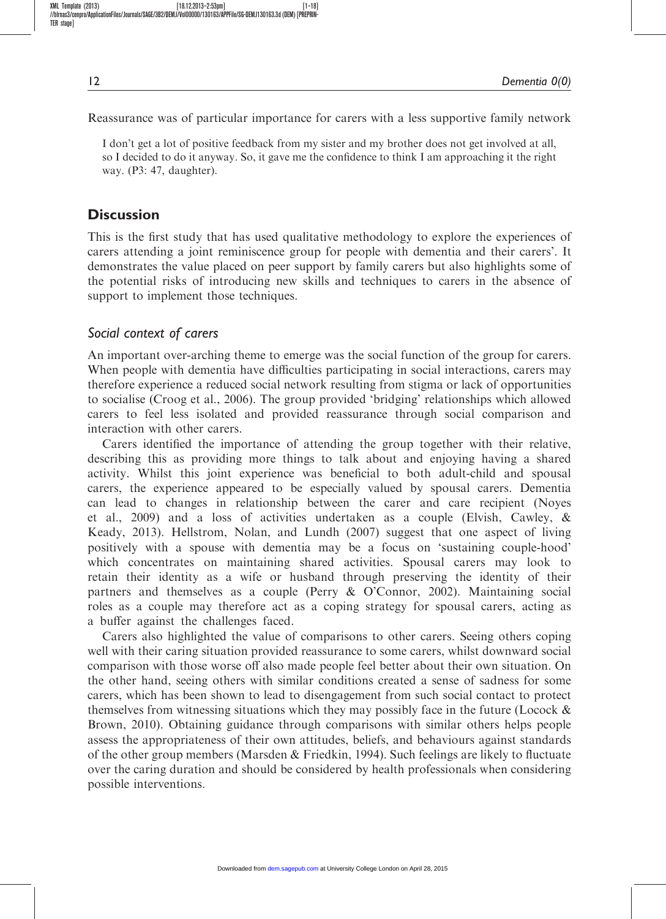Reassurance was of particular importance for carers with a less supportive family network

I don't get a lot of positive feedback from my sister and my brother does not get involved at all, so I decided to do it anyway. So, it gave me the confidence to think I am approaching it the right way. (P3: 47, daughter).

# **Discussion**

This is the first study that has used qualitative methodology to explore the experiences of carers attending a joint reminiscence group for people with dementia and their carers'. It demonstrates the value placed on peer support by family carers but also highlights some of the potential risks of introducing new skills and techniques to carers in the absence of support to implement those techniques.

## Social context of carers

An important over-arching theme to emerge was the social function of the group for carers. When people with dementia have difficulties participating in social interactions, carers may therefore experience a reduced social network resulting from stigma or lack of opportunities to socialise (Croog et al., 2006). The group provided 'bridging' relationships which allowed carers to feel less isolated and provided reassurance through social comparison and interaction with other carers.

Carers identified the importance of attending the group together with their relative, describing this as providing more things to talk about and enjoying having a shared activity. Whilst this joint experience was beneficial to both adult-child and spousal carers, the experience appeared to be especially valued by spousal carers. Dementia can lead to changes in relationship between the carer and care recipient (Noyes et al., 2009) and a loss of activities undertaken as a couple (Elvish, Cawley, & Keady, 2013). Hellstrom, Nolan, and Lundh (2007) suggest that one aspect of living positively with a spouse with dementia may be a focus on 'sustaining couple-hood' which concentrates on maintaining shared activities. Spousal carers may look to retain their identity as a wife or husband through preserving the identity of their partners and themselves as a couple (Perry & O'Connor, 2002). Maintaining social roles as a couple may therefore act as a coping strategy for spousal carers, acting as a buffer against the challenges faced.

Carers also highlighted the value of comparisons to other carers. Seeing others coping well with their caring situation provided reassurance to some carers, whilst downward social comparison with those worse off also made people feel better about their own situation. On the other hand, seeing others with similar conditions created a sense of sadness for some carers, which has been shown to lead to disengagement from such social contact to protect themselves from witnessing situations which they may possibly face in the future (Locock & Brown, 2010). Obtaining guidance through comparisons with similar others helps people assess the appropriateness of their own attitudes, beliefs, and behaviours against standards of the other group members (Marsden  $&$  Friedkin, 1994). Such feelings are likely to fluctuate over the caring duration and should be considered by health professionals when considering possible interventions.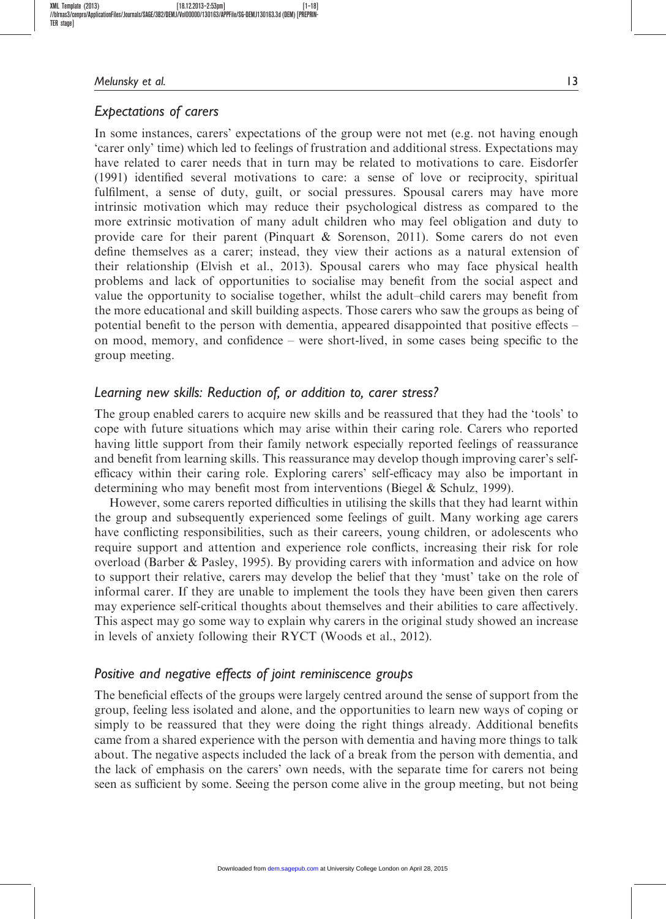# Expectations of carers

In some instances, carers' expectations of the group were not met (e.g. not having enough 'carer only' time) which led to feelings of frustration and additional stress. Expectations may have related to carer needs that in turn may be related to motivations to care. Eisdorfer (1991) identified several motivations to care: a sense of love or reciprocity, spiritual fulfilment, a sense of duty, guilt, or social pressures. Spousal carers may have more intrinsic motivation which may reduce their psychological distress as compared to the more extrinsic motivation of many adult children who may feel obligation and duty to provide care for their parent (Pinquart & Sorenson, 2011). Some carers do not even define themselves as a carer; instead, they view their actions as a natural extension of their relationship (Elvish et al., 2013). Spousal carers who may face physical health problems and lack of opportunities to socialise may benefit from the social aspect and value the opportunity to socialise together, whilst the adult–child carers may benefit from the more educational and skill building aspects. Those carers who saw the groups as being of potential benefit to the person with dementia, appeared disappointed that positive effects – on mood, memory, and confidence – were short-lived, in some cases being specific to the group meeting.

# Learning new skills: Reduction of, or addition to, carer stress?

The group enabled carers to acquire new skills and be reassured that they had the 'tools' to cope with future situations which may arise within their caring role. Carers who reported having little support from their family network especially reported feelings of reassurance and benefit from learning skills. This reassurance may develop though improving carer's selfefficacy within their caring role. Exploring carers' self-efficacy may also be important in determining who may benefit most from interventions (Biegel & Schulz, 1999).

However, some carers reported difficulties in utilising the skills that they had learnt within the group and subsequently experienced some feelings of guilt. Many working age carers have conflicting responsibilities, such as their careers, young children, or adolescents who require support and attention and experience role conflicts, increasing their risk for role overload (Barber & Pasley, 1995). By providing carers with information and advice on how to support their relative, carers may develop the belief that they 'must' take on the role of informal carer. If they are unable to implement the tools they have been given then carers may experience self-critical thoughts about themselves and their abilities to care affectively. This aspect may go some way to explain why carers in the original study showed an increase in levels of anxiety following their RYCT (Woods et al., 2012).

# Positive and negative effects of joint reminiscence groups

The beneficial effects of the groups were largely centred around the sense of support from the group, feeling less isolated and alone, and the opportunities to learn new ways of coping or simply to be reassured that they were doing the right things already. Additional benefits came from a shared experience with the person with dementia and having more things to talk about. The negative aspects included the lack of a break from the person with dementia, and the lack of emphasis on the carers' own needs, with the separate time for carers not being seen as sufficient by some. Seeing the person come alive in the group meeting, but not being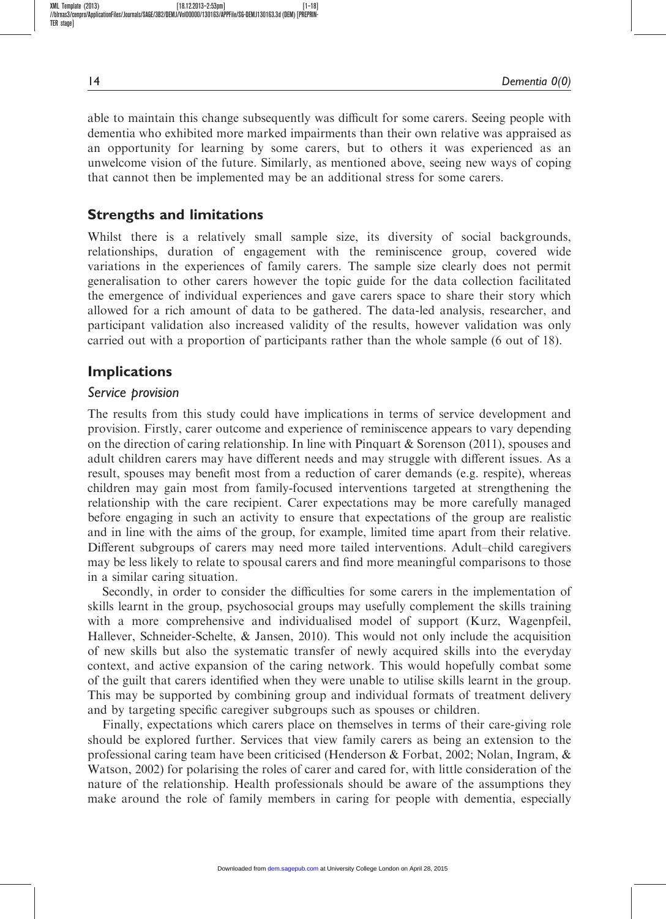able to maintain this change subsequently was difficult for some carers. Seeing people with dementia who exhibited more marked impairments than their own relative was appraised as an opportunity for learning by some carers, but to others it was experienced as an unwelcome vision of the future. Similarly, as mentioned above, seeing new ways of coping that cannot then be implemented may be an additional stress for some carers.

# Strengths and limitations

Whilst there is a relatively small sample size, its diversity of social backgrounds, relationships, duration of engagement with the reminiscence group, covered wide variations in the experiences of family carers. The sample size clearly does not permit generalisation to other carers however the topic guide for the data collection facilitated the emergence of individual experiences and gave carers space to share their story which allowed for a rich amount of data to be gathered. The data-led analysis, researcher, and participant validation also increased validity of the results, however validation was only carried out with a proportion of participants rather than the whole sample (6 out of 18).

# Implications

#### Service provision

The results from this study could have implications in terms of service development and provision. Firstly, carer outcome and experience of reminiscence appears to vary depending on the direction of caring relationship. In line with Pinquart & Sorenson (2011), spouses and adult children carers may have different needs and may struggle with different issues. As a result, spouses may benefit most from a reduction of carer demands (e.g. respite), whereas children may gain most from family-focused interventions targeted at strengthening the relationship with the care recipient. Carer expectations may be more carefully managed before engaging in such an activity to ensure that expectations of the group are realistic and in line with the aims of the group, for example, limited time apart from their relative. Different subgroups of carers may need more tailed interventions. Adult–child caregivers may be less likely to relate to spousal carers and find more meaningful comparisons to those in a similar caring situation.

Secondly, in order to consider the difficulties for some carers in the implementation of skills learnt in the group, psychosocial groups may usefully complement the skills training with a more comprehensive and individualised model of support (Kurz, Wagenpfeil, Hallever, Schneider-Schelte, & Jansen, 2010). This would not only include the acquisition of new skills but also the systematic transfer of newly acquired skills into the everyday context, and active expansion of the caring network. This would hopefully combat some of the guilt that carers identified when they were unable to utilise skills learnt in the group. This may be supported by combining group and individual formats of treatment delivery and by targeting specific caregiver subgroups such as spouses or children.

Finally, expectations which carers place on themselves in terms of their care-giving role should be explored further. Services that view family carers as being an extension to the professional caring team have been criticised (Henderson & Forbat, 2002; Nolan, Ingram, & Watson, 2002) for polarising the roles of carer and cared for, with little consideration of the nature of the relationship. Health professionals should be aware of the assumptions they make around the role of family members in caring for people with dementia, especially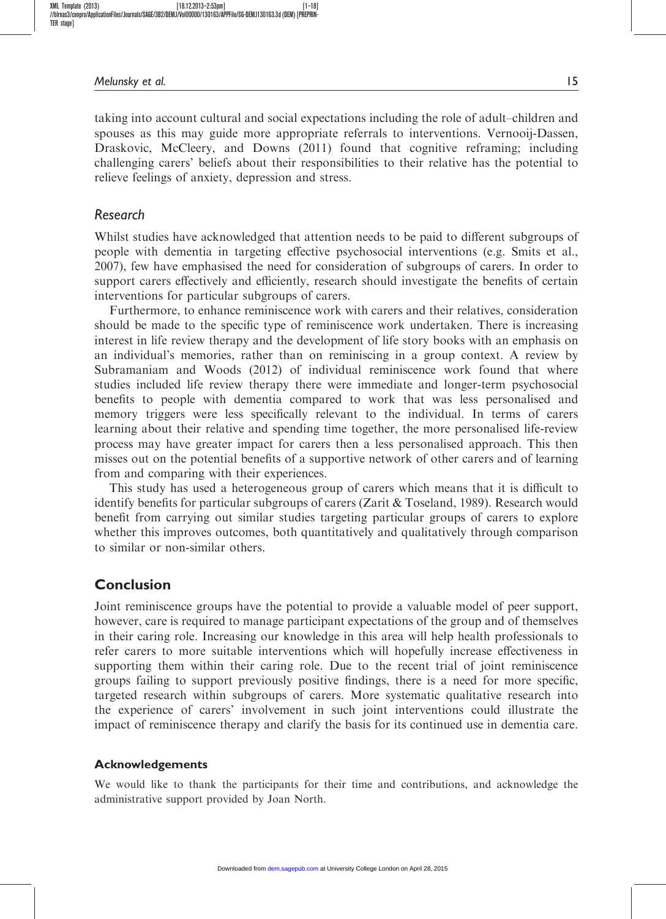taking into account cultural and social expectations including the role of adult–children and spouses as this may guide more appropriate referrals to interventions. Vernooij-Dassen, Draskovic, McCleery, and Downs (2011) found that cognitive reframing; including challenging carers' beliefs about their responsibilities to their relative has the potential to relieve feelings of anxiety, depression and stress.

#### Research

Whilst studies have acknowledged that attention needs to be paid to different subgroups of people with dementia in targeting effective psychosocial interventions (e.g. Smits et al., 2007), few have emphasised the need for consideration of subgroups of carers. In order to support carers effectively and efficiently, research should investigate the benefits of certain interventions for particular subgroups of carers.

Furthermore, to enhance reminiscence work with carers and their relatives, consideration should be made to the specific type of reminiscence work undertaken. There is increasing interest in life review therapy and the development of life story books with an emphasis on an individual's memories, rather than on reminiscing in a group context. A review by Subramaniam and Woods (2012) of individual reminiscence work found that where studies included life review therapy there were immediate and longer-term psychosocial benefits to people with dementia compared to work that was less personalised and memory triggers were less specifically relevant to the individual. In terms of carers learning about their relative and spending time together, the more personalised life-review process may have greater impact for carers then a less personalised approach. This then misses out on the potential benefits of a supportive network of other carers and of learning from and comparing with their experiences.

This study has used a heterogeneous group of carers which means that it is difficult to identify benefits for particular subgroups of carers (Zarit & Toseland, 1989). Research would benefit from carrying out similar studies targeting particular groups of carers to explore whether this improves outcomes, both quantitatively and qualitatively through comparison to similar or non-similar others.

# **Conclusion**

Joint reminiscence groups have the potential to provide a valuable model of peer support, however, care is required to manage participant expectations of the group and of themselves in their caring role. Increasing our knowledge in this area will help health professionals to refer carers to more suitable interventions which will hopefully increase effectiveness in supporting them within their caring role. Due to the recent trial of joint reminiscence groups failing to support previously positive findings, there is a need for more specific, targeted research within subgroups of carers. More systematic qualitative research into the experience of carers' involvement in such joint interventions could illustrate the impact of reminiscence therapy and clarify the basis for its continued use in dementia care.

#### Acknowledgements

We would like to thank the participants for their time and contributions, and acknowledge the administrative support provided by Joan North.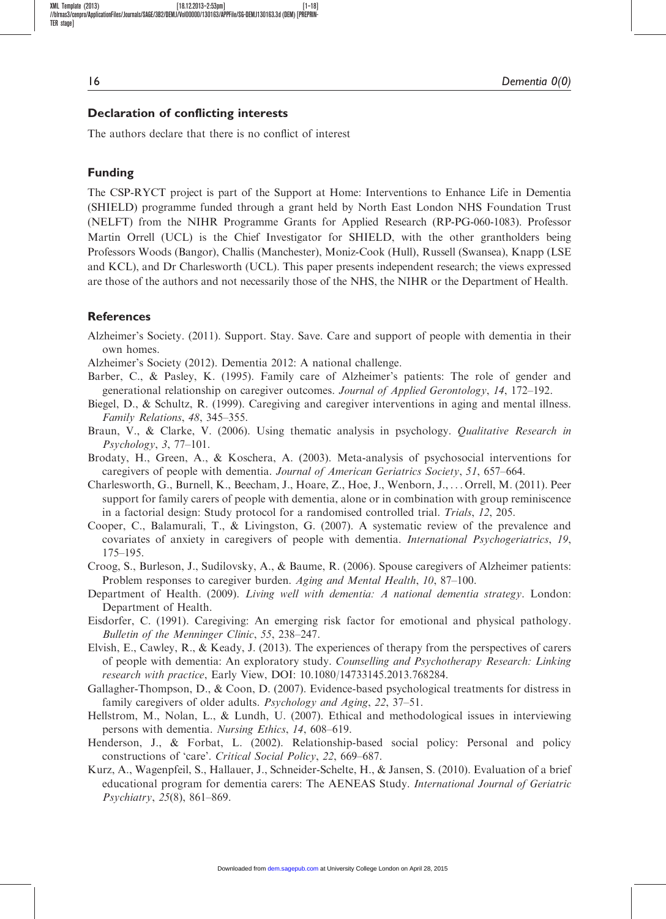#### Declaration of conflicting interests

The authors declare that there is no conflict of interest

#### Funding

The CSP-RYCT project is part of the Support at Home: Interventions to Enhance Life in Dementia (SHIELD) programme funded through a grant held by North East London NHS Foundation Trust (NELFT) from the NIHR Programme Grants for Applied Research (RP-PG-060-1083). Professor Martin Orrell (UCL) is the Chief Investigator for SHIELD, with the other grantholders being Professors Woods (Bangor), Challis (Manchester), Moniz-Cook (Hull), Russell (Swansea), Knapp (LSE and KCL), and Dr Charlesworth (UCL). This paper presents independent research; the views expressed are those of the authors and not necessarily those of the NHS, the NIHR or the Department of Health.

#### **References**

- Alzheimer's Society. (2011). Support. Stay. Save. Care and support of people with dementia in their own homes.
- Alzheimer's Society (2012). Dementia 2012: A national challenge.
- Barber, C., & Pasley, K. (1995). Family care of Alzheimer's patients: The role of gender and generational relationship on caregiver outcomes. Journal of Applied Gerontology, 14, 172–192.
- Biegel, D., & Schultz, R. (1999). Caregiving and caregiver interventions in aging and mental illness. Family Relations, 48, 345–355.
- Braun, V., & Clarke, V. (2006). Using thematic analysis in psychology. Qualitative Research in Psychology, 3, 77–101.
- Brodaty, H., Green, A., & Koschera, A. (2003). Meta-analysis of psychosocial interventions for caregivers of people with dementia. Journal of American Geriatrics Society, 51, 657–664.
- Charlesworth, G., Burnell, K., Beecham, J., Hoare, Z., Hoe, J., Wenborn, J., ... Orrell, M. (2011). Peer support for family carers of people with dementia, alone or in combination with group reminiscence in a factorial design: Study protocol for a randomised controlled trial. Trials, 12, 205.
- Cooper, C., Balamurali, T., & Livingston, G. (2007). A systematic review of the prevalence and covariates of anxiety in caregivers of people with dementia. International Psychogeriatrics, 19, 175–195.
- Croog, S., Burleson, J., Sudilovsky, A., & Baume, R. (2006). Spouse caregivers of Alzheimer patients: Problem responses to caregiver burden. Aging and Mental Health, 10, 87–100.
- Department of Health. (2009). Living well with dementia: A national dementia strategy. London: Department of Health.
- Eisdorfer, C. (1991). Caregiving: An emerging risk factor for emotional and physical pathology. Bulletin of the Menninger Clinic, 55, 238–247.
- Elvish, E., Cawley, R., & Keady, J. (2013). The experiences of therapy from the perspectives of carers of people with dementia: An exploratory study. Counselling and Psychotherapy Research: Linking research with practice, Early View, DOI: 10.1080/14733145.2013.768284.
- Gallagher-Thompson, D., & Coon, D. (2007). Evidence-based psychological treatments for distress in family caregivers of older adults. *Psychology and Aging*, 22, 37–51.
- Hellstrom, M., Nolan, L., & Lundh, U. (2007). Ethical and methodological issues in interviewing persons with dementia. Nursing Ethics, 14, 608–619.
- Henderson, J., & Forbat, L. (2002). Relationship-based social policy: Personal and policy constructions of 'care'. Critical Social Policy, 22, 669–687.
- Kurz, A., Wagenpfeil, S., Hallauer, J., Schneider-Schelte, H., & Jansen, S. (2010). Evaluation of a brief educational program for dementia carers: The AENEAS Study. International Journal of Geriatric Psychiatry, 25(8), 861–869.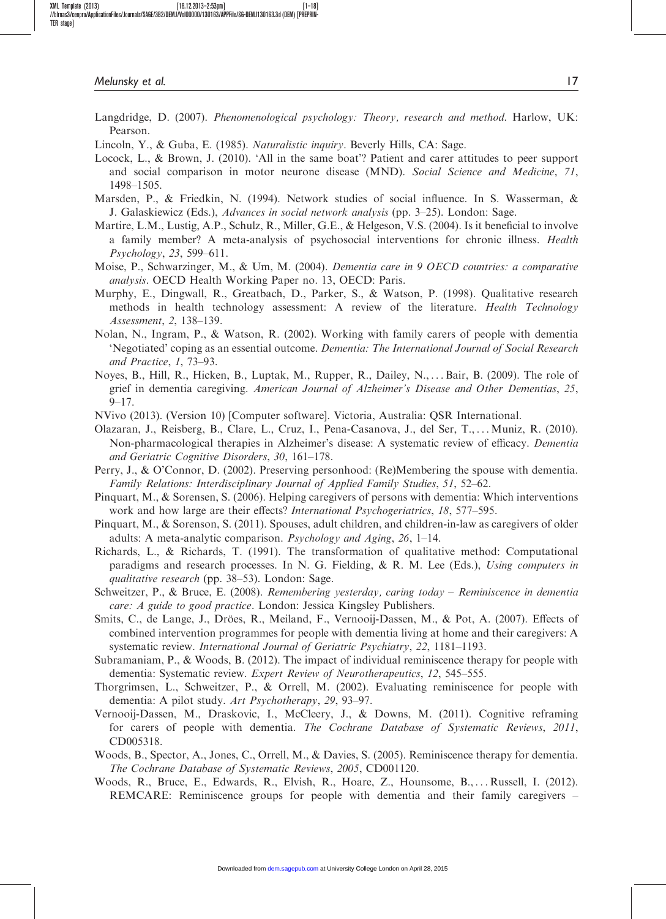- Langdridge, D. (2007). Phenomenological psychology: Theory, research and method. Harlow, UK: Pearson.
- Lincoln, Y., & Guba, E. (1985). Naturalistic inquiry. Beverly Hills, CA: Sage.
- Locock, L., & Brown, J. (2010). 'All in the same boat'? Patient and carer attitudes to peer support and social comparison in motor neurone disease (MND). Social Science and Medicine, 71, 1498–1505.
- Marsden, P., & Friedkin, N. (1994). Network studies of social influence. In S. Wasserman, & J. Galaskiewicz (Eds.), Advances in social network analysis (pp. 3–25). London: Sage.
- Martire, L.M., Lustig, A.P., Schulz, R., Miller, G.E., & Helgeson, V.S. (2004). Is it beneficial to involve a family member? A meta-analysis of psychosocial interventions for chronic illness. Health Psychology, 23, 599–611.
- Moise, P., Schwarzinger, M., & Um, M. (2004). Dementia care in 9 OECD countries: a comparative analysis. OECD Health Working Paper no. 13, OECD: Paris.
- Murphy, E., Dingwall, R., Greatbach, D., Parker, S., & Watson, P. (1998). Qualitative research methods in health technology assessment: A review of the literature. Health Technology Assessment, 2, 138–139.
- Nolan, N., Ingram, P., & Watson, R. (2002). Working with family carers of people with dementia 'Negotiated' coping as an essential outcome. Dementia: The International Journal of Social Research and Practice, 1, 73–93.
- Noyes, B., Hill, R., Hicken, B., Luptak, M., Rupper, R., Dailey, N., ...Bair, B. (2009). The role of grief in dementia caregiving. American Journal of Alzheimer's Disease and Other Dementias, 25, 9–17.
- NVivo (2013). (Version 10) [Computer software]. Victoria, Australia: QSR International.
- Olazaran, J., Reisberg, B., Clare, L., Cruz, I., Pena-Casanova, J., del Ser, T., ... Muniz, R. (2010). Non-pharmacological therapies in Alzheimer's disease: A systematic review of efficacy. Dementia and Geriatric Cognitive Disorders, 30, 161–178.
- Perry, J., & O'Connor, D. (2002). Preserving personhood: (Re)Membering the spouse with dementia. Family Relations: Interdisciplinary Journal of Applied Family Studies, 51, 52–62.
- Pinquart, M., & Sorensen, S. (2006). Helping caregivers of persons with dementia: Which interventions work and how large are their effects? International Psychogeriatrics, 18, 577–595.
- Pinquart, M., & Sorenson, S. (2011). Spouses, adult children, and children-in-law as caregivers of older adults: A meta-analytic comparison. Psychology and Aging, 26, 1–14.
- Richards, L., & Richards, T. (1991). The transformation of qualitative method: Computational paradigms and research processes. In N. G. Fielding, & R. M. Lee (Eds.), Using computers in qualitative research (pp. 38–53). London: Sage.
- Schweitzer, P., & Bruce, E. (2008). Remembering yesterday, caring today Reminiscence in dementia care: A guide to good practice. London: Jessica Kingsley Publishers.
- Smits, C., de Lange, J., Dröes, R., Meiland, F., Vernooij-Dassen, M., & Pot, A. (2007). Effects of combined intervention programmes for people with dementia living at home and their caregivers: A systematic review. International Journal of Geriatric Psychiatry, 22, 1181–1193.
- Subramaniam, P., & Woods, B. (2012). The impact of individual reminiscence therapy for people with dementia: Systematic review. Expert Review of Neurotherapeutics, 12, 545–555.
- Thorgrimsen, L., Schweitzer, P., & Orrell, M. (2002). Evaluating reminiscence for people with dementia: A pilot study. Art Psychotherapy, 29, 93–97.
- Vernooij-Dassen, M., Draskovic, I., McCleery, J., & Downs, M. (2011). Cognitive reframing for carers of people with dementia. The Cochrane Database of Systematic Reviews, 2011, CD005318.
- Woods, B., Spector, A., Jones, C., Orrell, M., & Davies, S. (2005). Reminiscence therapy for dementia. The Cochrane Database of Systematic Reviews, 2005, CD001120.
- Woods, R., Bruce, E., Edwards, R., Elvish, R., Hoare, Z., Hounsome, B., ... Russell, I. (2012). REMCARE: Reminiscence groups for people with dementia and their family caregivers –